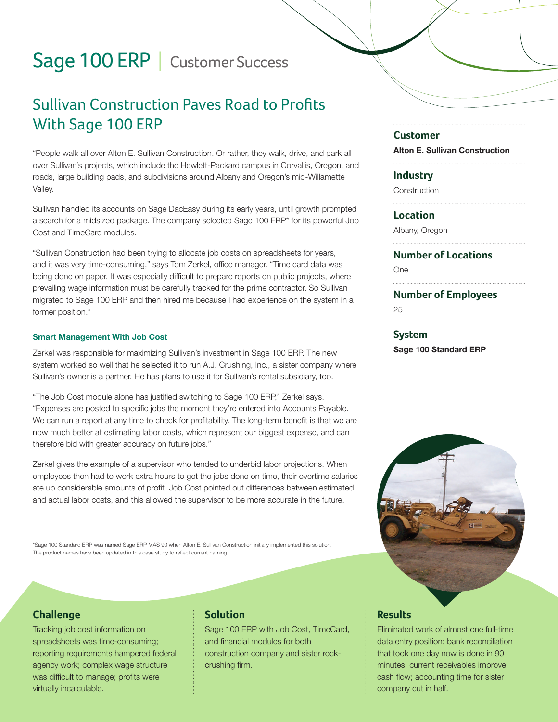# Sage 100 ERP | Customer Success

# Sullivan Construction Paves Road to Profits With Sage 100 ERP

"People walk all over Alton E. Sullivan Construction. Or rather, they walk, drive, and park all over Sullivan's projects, which include the Hewlett-Packard campus in Corvallis, Oregon, and roads, large building pads, and subdivisions around Albany and Oregon's mid-Willamette Valley.

Sullivan handled its accounts on Sage DacEasy during its early years, until growth prompted a search for a midsized package. The company selected Sage 100 ERP\* for its powerful Job Cost and TimeCard modules.

"Sullivan Construction had been trying to allocate job costs on spreadsheets for years, and it was very time-consuming," says Tom Zerkel, office manager. "Time card data was being done on paper. It was especially difficult to prepare reports on public projects, where prevailing wage information must be carefully tracked for the prime contractor. So Sullivan migrated to Sage 100 ERP and then hired me because I had experience on the system in a former position."

#### Smart Management With Job Cost

Zerkel was responsible for maximizing Sullivan's investment in Sage 100 ERP. The new system worked so well that he selected it to run A.J. Crushing, Inc., a sister company where Sullivan's owner is a partner. He has plans to use it for Sullivan's rental subsidiary, too.

"The Job Cost module alone has justified switching to Sage 100 ERP," Zerkel says. "Expenses are posted to specific jobs the moment they're entered into Accounts Payable. We can run a report at any time to check for profitability. The long-term benefit is that we are now much better at estimating labor costs, which represent our biggest expense, and can therefore bid with greater accuracy on future jobs."

Zerkel gives the example of a supervisor who tended to underbid labor projections. When employees then had to work extra hours to get the jobs done on time, their overtime salaries ate up considerable amounts of profit. Job Cost pointed out differences between estimated and actual labor costs, and this allowed the supervisor to be more accurate in the future.

\*Sage 100 Standard ERP was named Sage ERP MAS 90 when Alton E. Sullivan Construction initially implemented this solution. The product names have been updated in this case study to reflect current naming.

#### **Challenge**

Tracking job cost information on spreadsheets was time-consuming; reporting requirements hampered federal agency work; complex wage structure was difficult to manage; profits were virtually incalculable.

# **Solution**

Sage 100 ERP with Job Cost, TimeCard, and financial modules for both construction company and sister rockcrushing firm.

#### **Customer**

Alton E. Sullivan Construction

#### **Industry**

**Construction** 

#### **Location**

Albany, Oregon

### **Number of Locations**

One

#### **Number of Employees**

25

#### **System** Sage 100 Standard ERP



# **Results**

Eliminated work of almost one full-time data entry position; bank reconciliation that took one day now is done in 90 minutes; current receivables improve cash flow; accounting time for sister company cut in half.